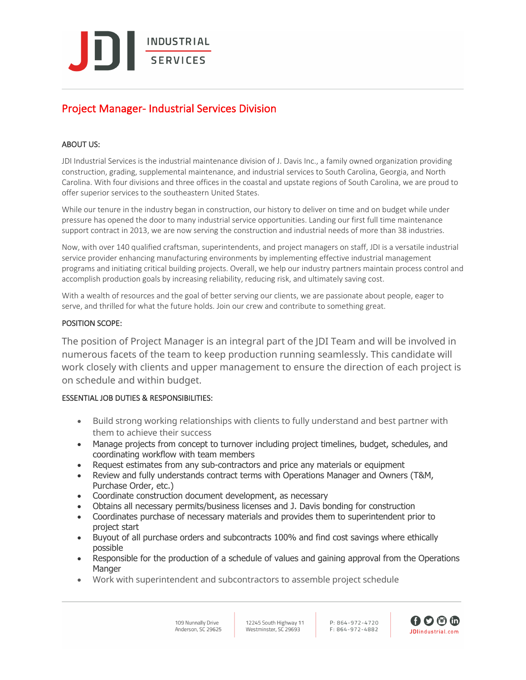**INDUSTRIAL SERVICES** 

# Project Manager- Industrial Services Division

## ABOUT US:

JDI Industrial Services is the industrial maintenance division of J. Davis Inc., a family owned organization providing construction, grading, supplemental maintenance, and industrial services to South Carolina, Georgia, and North Carolina. With four divisions and three offices in the coastal and upstate regions of South Carolina, we are proud to offer superior services to the southeastern United States.

While our tenure in the industry began in construction, our history to deliver on time and on budget while under pressure has opened the door to many industrial service opportunities. Landing our first full time maintenance support contract in 2013, we are now serving the construction and industrial needs of more than 38 industries.

Now, with over 140 qualified craftsman, superintendents, and project managers on staff, JDI is a versatile industrial service provider enhancing manufacturing environments by implementing effective industrial management programs and initiating critical building projects. Overall, we help our industry partners maintain process control and accomplish production goals by increasing reliability, reducing risk, and ultimately saving cost.

With a wealth of resources and the goal of better serving our clients, we are passionate about people, eager to serve, and thrilled for what the future holds. Join our crew and contribute to something great.

## POSITION SCOPE:

The position of Project Manager is an integral part of the JDI Team and will be involved in numerous facets of the team to keep production running seamlessly. This candidate will work closely with clients and upper management to ensure the direction of each project is on schedule and within budget.

## ESSENTIAL JOB DUTIES & RESPONSIBILITIES:

- Build strong working relationships with clients to fully understand and best partner with them to achieve their success
- Manage projects from concept to turnover including project timelines, budget, schedules, and coordinating workflow with team members
- Request estimates from any sub-contractors and price any materials or equipment
- Review and fully understands contract terms with Operations Manager and Owners (T&M, Purchase Order, etc.)
- Coordinate construction document development, as necessary
- Obtains all necessary permits/business licenses and J. Davis bonding for construction
- Coordinates purchase of necessary materials and provides them to superintendent prior to project start
- Buyout of all purchase orders and subcontracts 100% and find cost savings where ethically possible
- Responsible for the production of a schedule of values and gaining approval from the Operations **Manger**
- Work with superintendent and subcontractors to assemble project schedule

109 Nunnally Drive Anderson, SC 29625 12245 South Highway 11 Westminster, SC 29693

 $D.86/1-972-1720$  $F.864-972-4882$